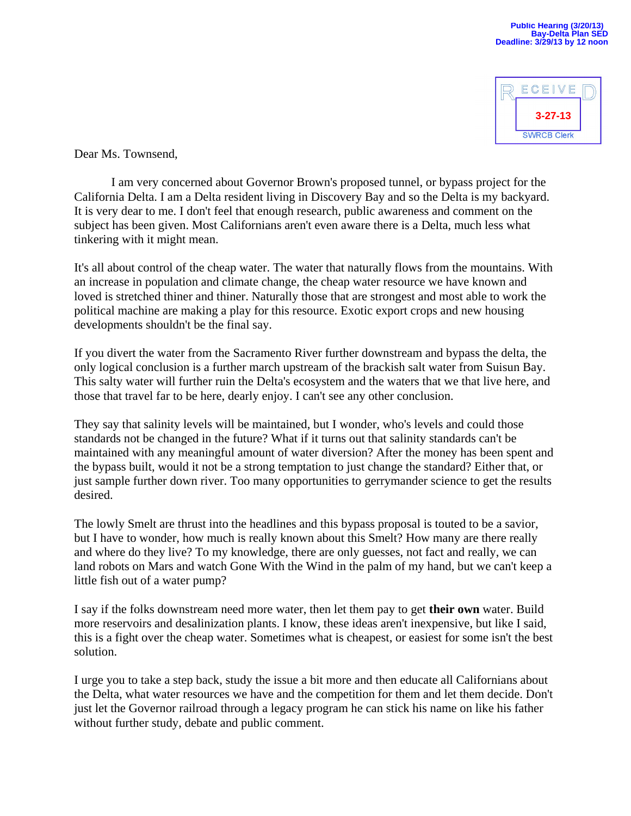

Dear Ms. Townsend,

I am very concerned about Governor Brown's proposed tunnel, or bypass project for the California Delta. I am a Delta resident living in Discovery Bay and so the Delta is my backyard. It is very dear to me. I don't feel that enough research, public awareness and comment on the subject has been given. Most Californians aren't even aware there is a Delta, much less what tinkering with it might mean.

It's all about control of the cheap water. The water that naturally flows from the mountains. With an increase in population and climate change, the cheap water resource we have known and loved is stretched thiner and thiner. Naturally those that are strongest and most able to work the political machine are making a play for this resource. Exotic export crops and new housing developments shouldn't be the final say.

If you divert the water from the Sacramento River further downstream and bypass the delta, the only logical conclusion is a further march upstream of the brackish salt water from Suisun Bay. This salty water will further ruin the Delta's ecosystem and the waters that we that live here, and those that travel far to be here, dearly enjoy. I can't see any other conclusion.

They say that salinity levels will be maintained, but I wonder, who's levels and could those standards not be changed in the future? What if it turns out that salinity standards can't be maintained with any meaningful amount of water diversion? After the money has been spent and the bypass built, would it not be a strong temptation to just change the standard? Either that, or just sample further down river. Too many opportunities to gerrymander science to get the results desired.

The lowly Smelt are thrust into the headlines and this bypass proposal is touted to be a savior, but I have to wonder, how much is really known about this Smelt? How many are there really and where do they live? To my knowledge, there are only guesses, not fact and really, we can land robots on Mars and watch Gone With the Wind in the palm of my hand, but we can't keep a little fish out of a water pump?

I say if the folks downstream need more water, then let them pay to get **their own** water. Build more reservoirs and desalinization plants. I know, these ideas aren't inexpensive, but like I said, this is a fight over the cheap water. Sometimes what is cheapest, or easiest for some isn't the best solution.

I urge you to take a step back, study the issue a bit more and then educate all Californians about the Delta, what water resources we have and the competition for them and let them decide. Don't just let the Governor railroad through a legacy program he can stick his name on like his father without further study, debate and public comment.